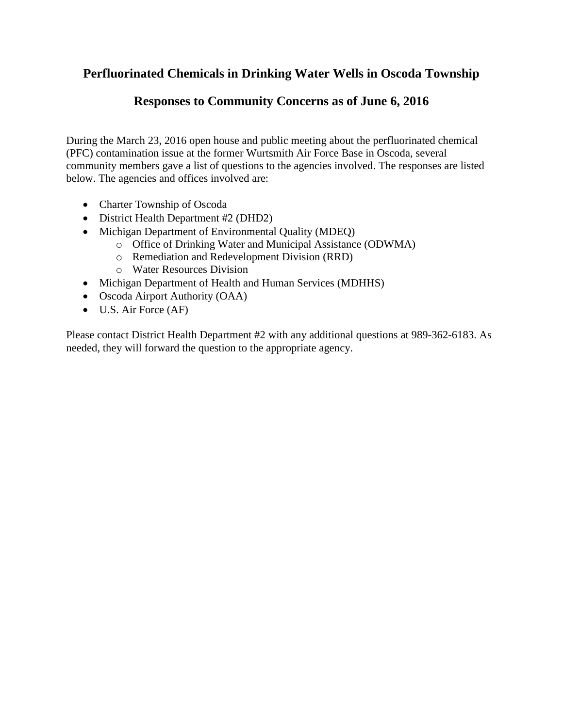# **Perfluorinated Chemicals in Drinking Water Wells in Oscoda Township**

# **Responses to Community Concerns as of June 6, 2016**

During the March 23, 2016 open house and public meeting about the perfluorinated chemical (PFC) contamination issue at the former Wurtsmith Air Force Base in Oscoda, several community members gave a list of questions to the agencies involved. The responses are listed below. The agencies and offices involved are:

- Charter Township of Oscoda
- District Health Department #2 (DHD2)
- Michigan Department of Environmental Quality (MDEQ)
	- o Office of Drinking Water and Municipal Assistance (ODWMA)
	- o Remediation and Redevelopment Division (RRD)
	- o Water Resources Division
- Michigan Department of Health and Human Services (MDHHS)
- Oscoda Airport Authority (OAA)
- U.S. Air Force (AF)

Please contact District Health Department #2 with any additional questions at 989-362-6183. As needed, they will forward the question to the appropriate agency.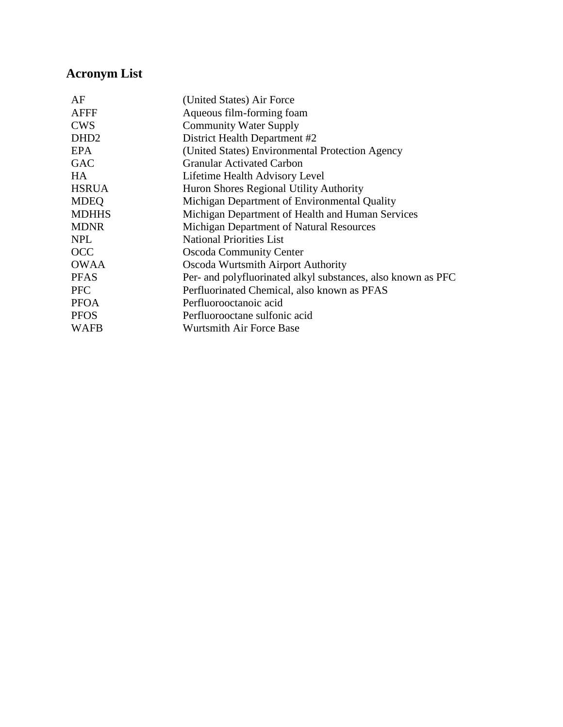# **Acronym List**

| AF               | (United States) Air Force                                    |
|------------------|--------------------------------------------------------------|
| <b>AFFF</b>      | Aqueous film-forming foam                                    |
| <b>CWS</b>       | <b>Community Water Supply</b>                                |
| DHD <sub>2</sub> | District Health Department #2                                |
| EPA              | (United States) Environmental Protection Agency              |
| <b>GAC</b>       | <b>Granular Activated Carbon</b>                             |
| HA.              | Lifetime Health Advisory Level                               |
| <b>HSRUA</b>     | Huron Shores Regional Utility Authority                      |
| <b>MDEQ</b>      | Michigan Department of Environmental Quality                 |
| <b>MDHHS</b>     | Michigan Department of Health and Human Services             |
| <b>MDNR</b>      | Michigan Department of Natural Resources                     |
| <b>NPL</b>       | <b>National Priorities List</b>                              |
| <b>OCC</b>       | <b>Oscoda Community Center</b>                               |
| <b>OWAA</b>      | Oscoda Wurtsmith Airport Authority                           |
| <b>PFAS</b>      | Per- and polyfluorinated alkyl substances, also known as PFC |
| <b>PFC</b>       | Perfluorinated Chemical, also known as PFAS                  |
| <b>PFOA</b>      | Perfluorooctanoic acid                                       |
| <b>PFOS</b>      | Perfluorooctane sulfonic acid                                |
| <b>WAFB</b>      | <b>Wurtsmith Air Force Base</b>                              |
|                  |                                                              |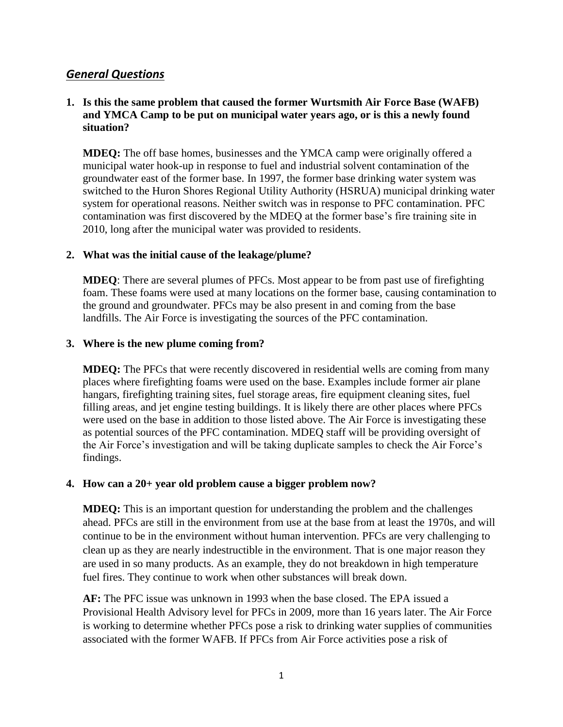# *General Questions*

## **1. Is this the same problem that caused the former Wurtsmith Air Force Base (WAFB) and YMCA Camp to be put on municipal water years ago, or is this a newly found situation?**

**MDEQ:** The off base homes, businesses and the YMCA camp were originally offered a municipal water hook-up in response to fuel and industrial solvent contamination of the groundwater east of the former base. In 1997, the former base drinking water system was switched to the Huron Shores Regional Utility Authority (HSRUA) municipal drinking water system for operational reasons. Neither switch was in response to PFC contamination. PFC contamination was first discovered by the MDEQ at the former base's fire training site in 2010, long after the municipal water was provided to residents.

#### **2. What was the initial cause of the leakage/plume?**

**MDEQ**: There are several plumes of PFCs. Most appear to be from past use of firefighting foam. These foams were used at many locations on the former base, causing contamination to the ground and groundwater. PFCs may be also present in and coming from the base landfills. The Air Force is investigating the sources of the PFC contamination.

#### **3. Where is the new plume coming from?**

**MDEQ:** The PFCs that were recently discovered in residential wells are coming from many places where firefighting foams were used on the base. Examples include former air plane hangars, firefighting training sites, fuel storage areas, fire equipment cleaning sites, fuel filling areas, and jet engine testing buildings. It is likely there are other places where PFCs were used on the base in addition to those listed above. The Air Force is investigating these as potential sources of the PFC contamination. MDEQ staff will be providing oversight of the Air Force's investigation and will be taking duplicate samples to check the Air Force's findings.

#### **4. How can a 20+ year old problem cause a bigger problem now?**

**MDEQ:** This is an important question for understanding the problem and the challenges ahead. PFCs are still in the environment from use at the base from at least the 1970s, and will continue to be in the environment without human intervention. PFCs are very challenging to clean up as they are nearly indestructible in the environment. That is one major reason they are used in so many products. As an example, they do not breakdown in high temperature fuel fires. They continue to work when other substances will break down.

**AF:** The PFC issue was unknown in 1993 when the base closed. The EPA issued a Provisional Health Advisory level for PFCs in 2009, more than 16 years later. The Air Force is working to determine whether PFCs pose a risk to drinking water supplies of communities associated with the former WAFB. If PFCs from Air Force activities pose a risk of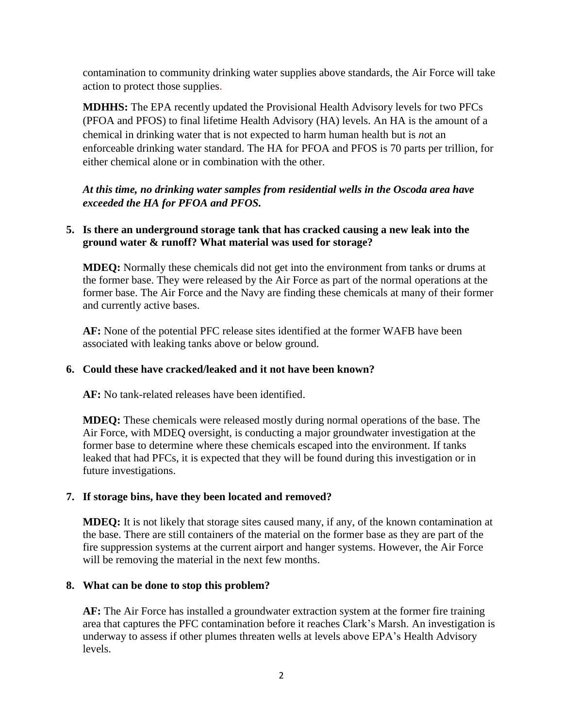contamination to community drinking water supplies above standards, the Air Force will take action to protect those supplies.

**MDHHS:** The EPA recently updated the Provisional Health Advisory levels for two PFCs (PFOA and PFOS) to final lifetime Health Advisory (HA) levels. An HA is the amount of a chemical in drinking water that is not expected to harm human health but is *no*t an enforceable drinking water standard. The HA for PFOA and PFOS is 70 parts per trillion, for either chemical alone or in combination with the other.

*At this time, no drinking water samples from residential wells in the Oscoda area have exceeded the HA for PFOA and PFOS.*

## **5. Is there an underground storage tank that has cracked causing a new leak into the ground water & runoff? What material was used for storage?**

**MDEQ:** Normally these chemicals did not get into the environment from tanks or drums at the former base. They were released by the Air Force as part of the normal operations at the former base. The Air Force and the Navy are finding these chemicals at many of their former and currently active bases.

**AF:** None of the potential PFC release sites identified at the former WAFB have been associated with leaking tanks above or below ground.

## **6. Could these have cracked/leaked and it not have been known?**

**AF:** No tank-related releases have been identified.

**MDEQ:** These chemicals were released mostly during normal operations of the base. The Air Force, with MDEQ oversight, is conducting a major groundwater investigation at the former base to determine where these chemicals escaped into the environment. If tanks leaked that had PFCs, it is expected that they will be found during this investigation or in future investigations.

# **7. If storage bins, have they been located and removed?**

**MDEQ:** It is not likely that storage sites caused many, if any, of the known contamination at the base. There are still containers of the material on the former base as they are part of the fire suppression systems at the current airport and hanger systems. However, the Air Force will be removing the material in the next few months.

## **8. What can be done to stop this problem?**

**AF:** The Air Force has installed a groundwater extraction system at the former fire training area that captures the PFC contamination before it reaches Clark's Marsh. An investigation is underway to assess if other plumes threaten wells at levels above EPA's Health Advisory levels.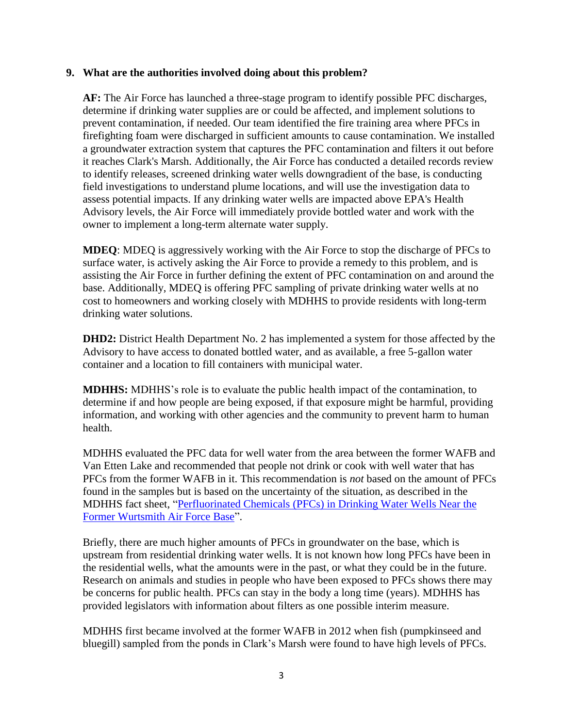#### **9. What are the authorities involved doing about this problem?**

**AF:** The Air Force has launched a three-stage program to identify possible PFC discharges, determine if drinking water supplies are or could be affected, and implement solutions to prevent contamination, if needed. Our team identified the fire training area where PFCs in firefighting foam were discharged in sufficient amounts to cause contamination. We installed a groundwater extraction system that captures the PFC contamination and filters it out before it reaches Clark's Marsh. Additionally, the Air Force has conducted a detailed records review to identify releases, screened drinking water wells downgradient of the base, is conducting field investigations to understand plume locations, and will use the investigation data to assess potential impacts. If any drinking water wells are impacted above EPA's Health Advisory levels, the Air Force will immediately provide bottled water and work with the owner to implement a long-term alternate water supply.

**MDEQ**: MDEQ is aggressively working with the Air Force to stop the discharge of PFCs to surface water, is actively asking the Air Force to provide a remedy to this problem, and is assisting the Air Force in further defining the extent of PFC contamination on and around the base. Additionally, MDEQ is offering PFC sampling of private drinking water wells at no cost to homeowners and working closely with MDHHS to provide residents with long-term drinking water solutions.

**DHD2:** District Health Department No. 2 has implemented a system for those affected by the Advisory to have access to donated bottled water, and as available, a free 5-gallon water container and a location to fill containers with municipal water.

**MDHHS:** MDHHS's role is to evaluate the public health impact of the contamination, to determine if and how people are being exposed, if that exposure might be harmful, providing information, and working with other agencies and the community to prevent harm to human health.

MDHHS evaluated the PFC data for well water from the area between the former WAFB and Van Etten Lake and recommended that people not drink or cook with well water that has PFCs from the former WAFB in it. This recommendation is *not* based on the amount of PFCs found in the samples but is based on the uncertainty of the situation, as described in the MDHHS fact sheet, ["Perfluorinated Chemicals \(PFCs\) in Drinking Water Wells Near the](http://www.michigan.gov/documents/mdhhs/PFCs_in_Drinking_Water_Wells_FS_520798_7.pdf)  [Former Wurtsmith Air Force Base"](http://www.michigan.gov/documents/mdhhs/PFCs_in_Drinking_Water_Wells_FS_520798_7.pdf).

Briefly, there are much higher amounts of PFCs in groundwater on the base, which is upstream from residential drinking water wells. It is not known how long PFCs have been in the residential wells, what the amounts were in the past, or what they could be in the future. Research on animals and studies in people who have been exposed to PFCs shows there may be concerns for public health. PFCs can stay in the body a long time (years). MDHHS has provided legislators with information about filters as one possible interim measure.

MDHHS first became involved at the former WAFB in 2012 when fish (pumpkinseed and bluegill) sampled from the ponds in Clark's Marsh were found to have high levels of PFCs.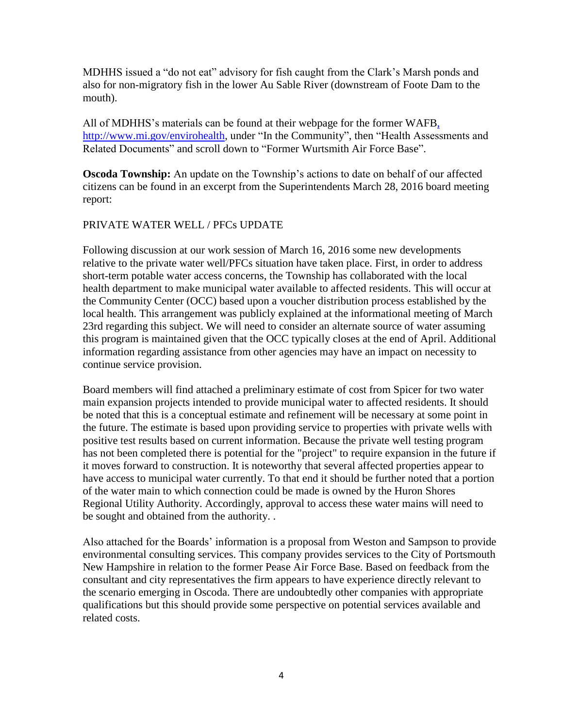MDHHS issued a "do not eat" advisory for fish caught from the Clark's Marsh ponds and also for non-migratory fish in the lower Au Sable River (downstream of Foote Dam to the mouth).

All of MDHHS's materials can be found at their webpage for the former WAFB, [http://www.mi.gov/envirohealth,](http://www.mi.gov/envirohealth) under "In the Community", then "Health Assessments and Related Documents" and scroll down to "Former Wurtsmith Air Force Base".

**Oscoda Township:** An update on the Township's actions to date on behalf of our affected citizens can be found in an excerpt from the Superintendents March 28, 2016 board meeting report:

## PRIVATE WATER WELL / PFCs UPDATE

Following discussion at our work session of March 16, 2016 some new developments relative to the private water well/PFCs situation have taken place. First, in order to address short-term potable water access concerns, the Township has collaborated with the local health department to make municipal water available to affected residents. This will occur at the Community Center (OCC) based upon a voucher distribution process established by the local health. This arrangement was publicly explained at the informational meeting of March 23rd regarding this subject. We will need to consider an alternate source of water assuming this program is maintained given that the OCC typically closes at the end of April. Additional information regarding assistance from other agencies may have an impact on necessity to continue service provision.

Board members will find attached a preliminary estimate of cost from Spicer for two water main expansion projects intended to provide municipal water to affected residents. It should be noted that this is a conceptual estimate and refinement will be necessary at some point in the future. The estimate is based upon providing service to properties with private wells with positive test results based on current information. Because the private well testing program has not been completed there is potential for the "project" to require expansion in the future if it moves forward to construction. It is noteworthy that several affected properties appear to have access to municipal water currently. To that end it should be further noted that a portion of the water main to which connection could be made is owned by the Huron Shores Regional Utility Authority. Accordingly, approval to access these water mains will need to be sought and obtained from the authority. .

Also attached for the Boards' information is a proposal from Weston and Sampson to provide environmental consulting services. This company provides services to the City of Portsmouth New Hampshire in relation to the former Pease Air Force Base. Based on feedback from the consultant and city representatives the firm appears to have experience directly relevant to the scenario emerging in Oscoda. There are undoubtedly other companies with appropriate qualifications but this should provide some perspective on potential services available and related costs.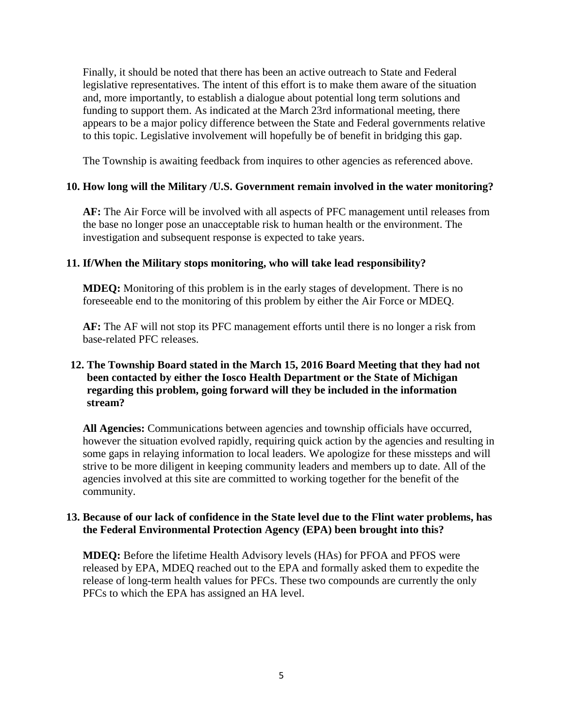Finally, it should be noted that there has been an active outreach to State and Federal legislative representatives. The intent of this effort is to make them aware of the situation and, more importantly, to establish a dialogue about potential long term solutions and funding to support them. As indicated at the March 23rd informational meeting, there appears to be a major policy difference between the State and Federal governments relative to this topic. Legislative involvement will hopefully be of benefit in bridging this gap.

The Township is awaiting feedback from inquires to other agencies as referenced above.

## **10. How long will the Military /U.S. Government remain involved in the water monitoring?**

**AF:** The Air Force will be involved with all aspects of PFC management until releases from the base no longer pose an unacceptable risk to human health or the environment. The investigation and subsequent response is expected to take years.

## **11. If/When the Military stops monitoring, who will take lead responsibility?**

**MDEQ:** Monitoring of this problem is in the early stages of development. There is no foreseeable end to the monitoring of this problem by either the Air Force or MDEQ.

**AF:** The AF will not stop its PFC management efforts until there is no longer a risk from base-related PFC releases.

## **12. The Township Board stated in the March 15, 2016 Board Meeting that they had not been contacted by either the Iosco Health Department or the State of Michigan regarding this problem, going forward will they be included in the information stream?**

**All Agencies:** Communications between agencies and township officials have occurred, however the situation evolved rapidly, requiring quick action by the agencies and resulting in some gaps in relaying information to local leaders. We apologize for these missteps and will strive to be more diligent in keeping community leaders and members up to date. All of the agencies involved at this site are committed to working together for the benefit of the community.

## **13. Because of our lack of confidence in the State level due to the Flint water problems, has the Federal Environmental Protection Agency (EPA) been brought into this?**

**MDEQ:** Before the lifetime Health Advisory levels (HAs) for PFOA and PFOS were released by EPA, MDEQ reached out to the EPA and formally asked them to expedite the release of long-term health values for PFCs. These two compounds are currently the only PFCs to which the EPA has assigned an HA level.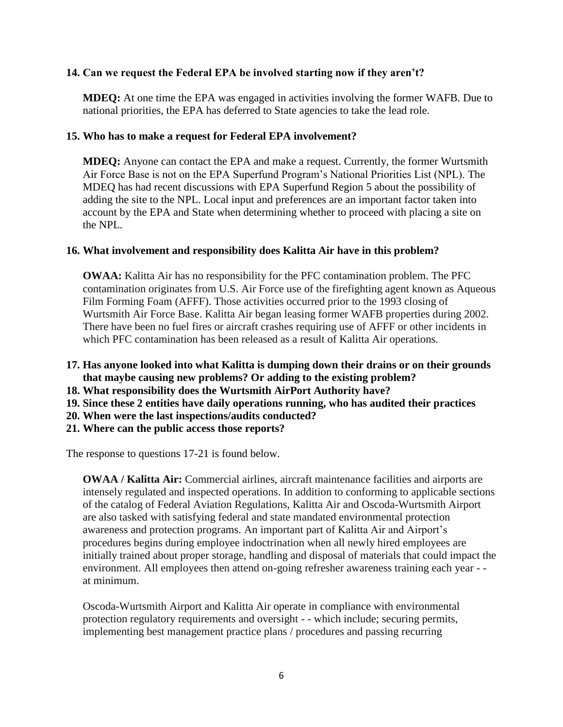## **14. Can we request the Federal EPA be involved starting now if they aren't?**

**MDEQ:** At one time the EPA was engaged in activities involving the former WAFB. Due to national priorities, the EPA has deferred to State agencies to take the lead role.

#### **15. Who has to make a request for Federal EPA involvement?**

**MDEQ:** Anyone can contact the EPA and make a request. Currently, the former Wurtsmith Air Force Base is not on the EPA Superfund Program's National Priorities List (NPL). The MDEQ has had recent discussions with EPA Superfund Region 5 about the possibility of adding the site to the NPL. Local input and preferences are an important factor taken into account by the EPA and State when determining whether to proceed with placing a site on the NPL.

#### **16. What involvement and responsibility does Kalitta Air have in this problem?**

**OWAA:** Kalitta Air has no responsibility for the PFC contamination problem. The PFC contamination originates from U.S. Air Force use of the firefighting agent known as Aqueous Film Forming Foam (AFFF). Those activities occurred prior to the 1993 closing of Wurtsmith Air Force Base. Kalitta Air began leasing former WAFB properties during 2002. There have been no fuel fires or aircraft crashes requiring use of AFFF or other incidents in which PFC contamination has been released as a result of Kalitta Air operations.

- **17. Has anyone looked into what Kalitta is dumping down their drains or on their grounds that maybe causing new problems? Or adding to the existing problem?**
- **18. What responsibility does the Wurtsmith AirPort Authority have?**
- **19. Since these 2 entities have daily operations running, who has audited their practices**
- **20. When were the last inspections/audits conducted?**
- **21. Where can the public access those reports?**

The response to questions 17-21 is found below.

**OWAA / Kalitta Air:** Commercial airlines, aircraft maintenance facilities and airports are intensely regulated and inspected operations. In addition to conforming to applicable sections of the catalog of Federal Aviation Regulations, Kalitta Air and Oscoda-Wurtsmith Airport are also tasked with satisfying federal and state mandated environmental protection awareness and protection programs. An important part of Kalitta Air and Airport's procedures begins during employee indoctrination when all newly hired employees are initially trained about proper storage, handling and disposal of materials that could impact the environment. All employees then attend on-going refresher awareness training each year - at minimum.

Oscoda-Wurtsmith Airport and Kalitta Air operate in compliance with environmental protection regulatory requirements and oversight - - which include; securing permits, implementing best management practice plans / procedures and passing recurring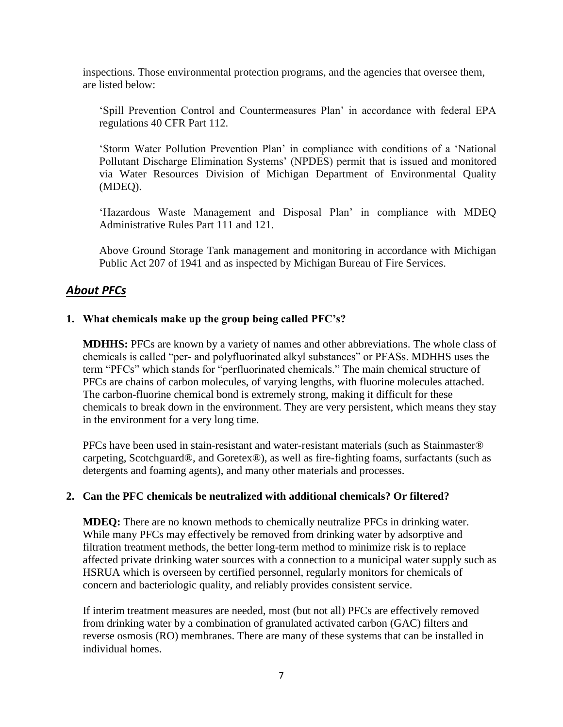inspections. Those environmental protection programs, and the agencies that oversee them, are listed below:

'Spill Prevention Control and Countermeasures Plan' in accordance with federal EPA regulations 40 CFR Part 112.

'Storm Water Pollution Prevention Plan' in compliance with conditions of a 'National Pollutant Discharge Elimination Systems' (NPDES) permit that is issued and monitored via Water Resources Division of Michigan Department of Environmental Quality (MDEQ).

'Hazardous Waste Management and Disposal Plan' in compliance with MDEQ Administrative Rules Part 111 and 121.

Above Ground Storage Tank management and monitoring in accordance with Michigan Public Act 207 of 1941 and as inspected by Michigan Bureau of Fire Services.

# *About PFCs*

## **1. What chemicals make up the group being called PFC's?**

**MDHHS:** PFCs are known by a variety of names and other abbreviations. The whole class of chemicals is called "per- and polyfluorinated alkyl substances" or PFASs. MDHHS uses the term "PFCs" which stands for "perfluorinated chemicals." The main chemical structure of PFCs are chains of carbon molecules, of varying lengths, with fluorine molecules attached. The carbon-fluorine chemical bond is extremely strong, making it difficult for these chemicals to break down in the environment. They are very persistent, which means they stay in the environment for a very long time.

PFCs have been used in stain-resistant and water-resistant materials (such as Stainmaster® carpeting, Scotchguard®, and Goretex®), as well as fire-fighting foams, surfactants (such as detergents and foaming agents), and many other materials and processes.

#### **2. Can the PFC chemicals be neutralized with additional chemicals? Or filtered?**

**MDEQ:** There are no known methods to chemically neutralize PFCs in drinking water. While many PFCs may effectively be removed from drinking water by adsorptive and filtration treatment methods, the better long-term method to minimize risk is to replace affected private drinking water sources with a connection to a municipal water supply such as HSRUA which is overseen by certified personnel, regularly monitors for chemicals of concern and bacteriologic quality, and reliably provides consistent service.

If interim treatment measures are needed, most (but not all) PFCs are effectively removed from drinking water by a combination of granulated activated carbon (GAC) filters and reverse osmosis (RO) membranes. There are many of these systems that can be installed in individual homes.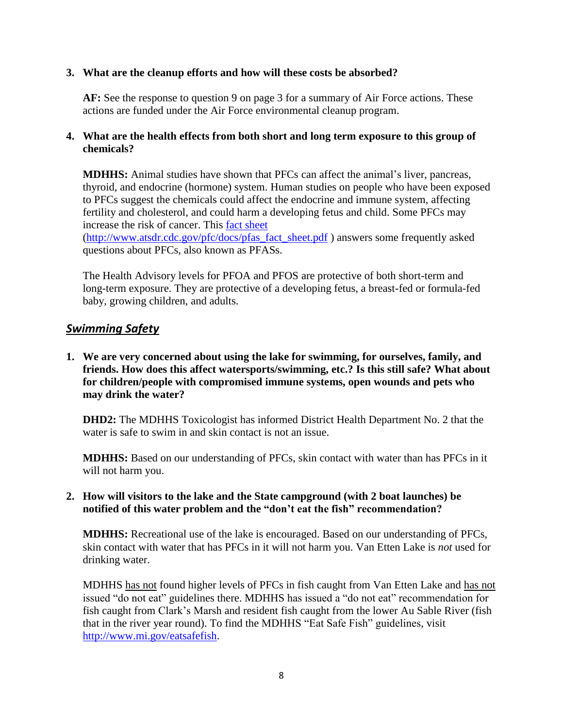## **3. What are the cleanup efforts and how will these costs be absorbed?**

**AF:** See the response to question 9 on page 3 for a summary of Air Force actions. These actions are funded under the Air Force environmental cleanup program.

## **4. What are the health effects from both short and long term exposure to this group of chemicals?**

**MDHHS:** Animal studies have shown that PFCs can affect the animal's liver, pancreas, thyroid, and endocrine (hormone) system. Human studies on people who have been exposed to PFCs suggest the chemicals could affect the endocrine and immune system, affecting fertility and cholesterol, and could harm a developing fetus and child. Some PFCs may increase the risk of cancer. This [fact sheet](http://www.atsdr.cdc.gov/pfc/docs/pfas_fact_sheet.pdf)

[\(http://www.atsdr.cdc.gov/pfc/docs/pfas\\_fact\\_sheet.pdf](http://www.atsdr.cdc.gov/pfc/docs/pfas_fact_sheet.pdf) ) answers some frequently asked questions about PFCs, also known as PFASs.

The Health Advisory levels for PFOA and PFOS are protective of both short-term and long-term exposure. They are protective of a developing fetus, a breast-fed or formula-fed baby, growing children, and adults.

# *Swimming Safety*

**1. We are very concerned about using the lake for swimming, for ourselves, family, and friends. How does this affect watersports/swimming, etc.? Is this still safe? What about for children/people with compromised immune systems, open wounds and pets who may drink the water?**

**DHD2:** The MDHHS Toxicologist has informed District Health Department No. 2 that the water is safe to swim in and skin contact is not an issue.

**MDHHS:** Based on our understanding of PFCs, skin contact with water than has PFCs in it will not harm you.

## **2. How will visitors to the lake and the State campground (with 2 boat launches) be notified of this water problem and the "don't eat the fish" recommendation?**

**MDHHS:** Recreational use of the lake is encouraged. Based on our understanding of PFCs, skin contact with water that has PFCs in it will not harm you. Van Etten Lake is *not* used for drinking water.

MDHHS has not found higher levels of PFCs in fish caught from Van Etten Lake and has not issued "do not eat" guidelines there. MDHHS has issued a "do not eat" recommendation for fish caught from Clark's Marsh and resident fish caught from the lower Au Sable River (fish that in the river year round). To find the MDHHS "Eat Safe Fish" guidelines, visit [http://www.mi.gov/eatsafefish.](http://www.mi.gov/eatsafefish)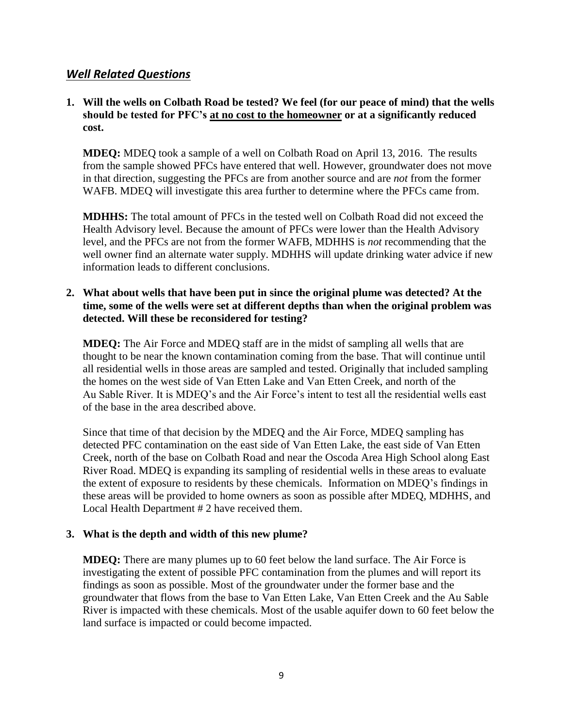# *Well Related Questions*

## **1. Will the wells on Colbath Road be tested? We feel (for our peace of mind) that the wells should be tested for PFC's at no cost to the homeowner or at a significantly reduced cost.**

**MDEQ:** MDEQ took a sample of a well on Colbath Road on April 13, 2016. The results from the sample showed PFCs have entered that well. However, groundwater does not move in that direction, suggesting the PFCs are from another source and are *not* from the former WAFB. MDEQ will investigate this area further to determine where the PFCs came from.

**MDHHS:** The total amount of PFCs in the tested well on Colbath Road did not exceed the Health Advisory level. Because the amount of PFCs were lower than the Health Advisory level, and the PFCs are not from the former WAFB, MDHHS is *not* recommending that the well owner find an alternate water supply. MDHHS will update drinking water advice if new information leads to different conclusions.

## **2. What about wells that have been put in since the original plume was detected? At the time, some of the wells were set at different depths than when the original problem was detected. Will these be reconsidered for testing?**

**MDEQ:** The Air Force and MDEQ staff are in the midst of sampling all wells that are thought to be near the known contamination coming from the base. That will continue until all residential wells in those areas are sampled and tested. Originally that included sampling the homes on the west side of Van Etten Lake and Van Etten Creek, and north of the Au Sable River. It is MDEQ's and the Air Force's intent to test all the residential wells east of the base in the area described above.

Since that time of that decision by the MDEQ and the Air Force, MDEQ sampling has detected PFC contamination on the east side of Van Etten Lake, the east side of Van Etten Creek, north of the base on Colbath Road and near the Oscoda Area High School along East River Road. MDEQ is expanding its sampling of residential wells in these areas to evaluate the extent of exposure to residents by these chemicals. Information on MDEQ's findings in these areas will be provided to home owners as soon as possible after MDEQ, MDHHS, and Local Health Department # 2 have received them.

## **3. What is the depth and width of this new plume?**

**MDEQ:** There are many plumes up to 60 feet below the land surface. The Air Force is investigating the extent of possible PFC contamination from the plumes and will report its findings as soon as possible. Most of the groundwater under the former base and the groundwater that flows from the base to Van Etten Lake, Van Etten Creek and the Au Sable River is impacted with these chemicals. Most of the usable aquifer down to 60 feet below the land surface is impacted or could become impacted.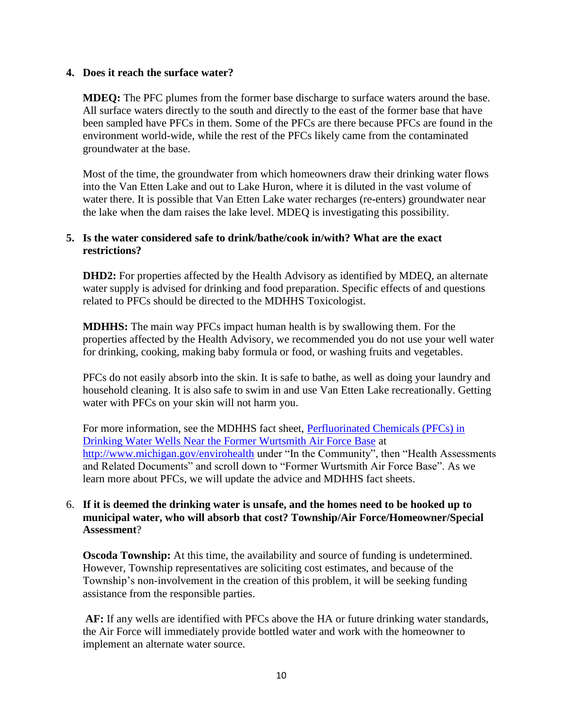#### **4. Does it reach the surface water?**

**MDEQ:** The PFC plumes from the former base discharge to surface waters around the base. All surface waters directly to the south and directly to the east of the former base that have been sampled have PFCs in them. Some of the PFCs are there because PFCs are found in the environment world-wide, while the rest of the PFCs likely came from the contaminated groundwater at the base.

Most of the time, the groundwater from which homeowners draw their drinking water flows into the Van Etten Lake and out to Lake Huron, where it is diluted in the vast volume of water there. It is possible that Van Etten Lake water recharges (re-enters) groundwater near the lake when the dam raises the lake level. MDEQ is investigating this possibility.

## **5. Is the water considered safe to drink/bathe/cook in/with? What are the exact restrictions?**

**DHD2:** For properties affected by the Health Advisory as identified by MDEQ, an alternate water supply is advised for drinking and food preparation. Specific effects of and questions related to PFCs should be directed to the MDHHS Toxicologist.

**MDHHS:** The main way PFCs impact human health is by swallowing them. For the properties affected by the Health Advisory, we recommended you do not use your well water for drinking, cooking, making baby formula or food, or washing fruits and vegetables.

PFCs do not easily absorb into the skin. It is safe to bathe, as well as doing your laundry and household cleaning. It is also safe to swim in and use Van Etten Lake recreationally. Getting water with PFCs on your skin will not harm you.

For more information, see the MDHHS fact sheet, [Perfluorinated Chemicals \(PFCs\) in](http://www.michigan.gov/documents/mdhhs/PFCs_in_Drinking_Water_Wells_FS_520798_7.pdf)  [Drinking Water Wells Near the Former Wurtsmith Air Force Base](http://www.michigan.gov/documents/mdhhs/PFCs_in_Drinking_Water_Wells_FS_520798_7.pdf) at <http://www.michigan.gov/envirohealth> under "In the Community", then "Health Assessments and Related Documents" and scroll down to "Former Wurtsmith Air Force Base". As we learn more about PFCs, we will update the advice and MDHHS fact sheets.

## 6. **If it is deemed the drinking water is unsafe, and the homes need to be hooked up to municipal water, who will absorb that cost? Township/Air Force/Homeowner/Special Assessment**?

**Oscoda Township:** At this time, the availability and source of funding is undetermined. However, Township representatives are soliciting cost estimates, and because of the Township's non-involvement in the creation of this problem, it will be seeking funding assistance from the responsible parties.

**AF:** If any wells are identified with PFCs above the HA or future drinking water standards, the Air Force will immediately provide bottled water and work with the homeowner to implement an alternate water source.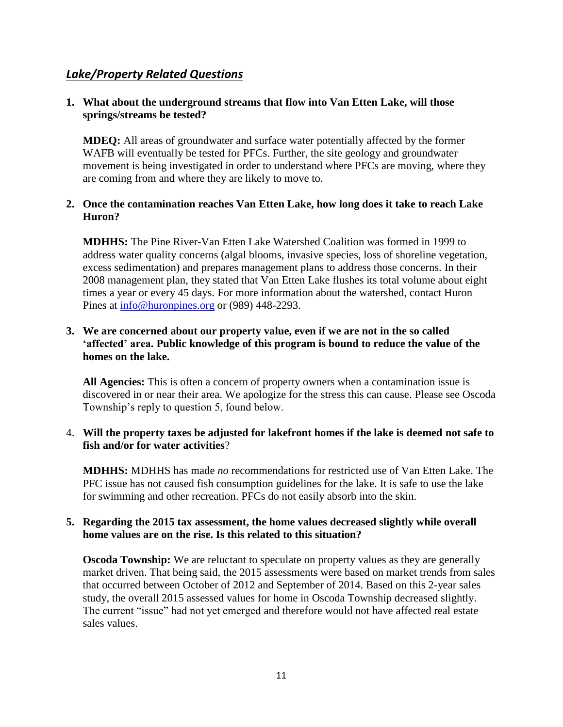# *Lake/Property Related Questions*

## **1. What about the underground streams that flow into Van Etten Lake, will those springs/streams be tested?**

**MDEQ:** All areas of groundwater and surface water potentially affected by the former WAFB will eventually be tested for PFCs. Further, the site geology and groundwater movement is being investigated in order to understand where PFCs are moving, where they are coming from and where they are likely to move to.

## **2. Once the contamination reaches Van Etten Lake, how long does it take to reach Lake Huron?**

**MDHHS:** The Pine River-Van Etten Lake Watershed Coalition was formed in 1999 to address water quality concerns (algal blooms, invasive species, loss of shoreline vegetation, excess sedimentation) and prepares management plans to address those concerns. In their 2008 management plan, they stated that Van Etten Lake flushes its total volume about eight times a year or every 45 days. For more information about the watershed, contact Huron Pines at [info@huronpines.org](mailto:info@huronpines.org) or (989) 448-2293.

## **3. We are concerned about our property value, even if we are not in the so called 'affected' area. Public knowledge of this program is bound to reduce the value of the homes on the lake.**

**All Agencies:** This is often a concern of property owners when a contamination issue is discovered in or near their area. We apologize for the stress this can cause. Please see Oscoda Township's reply to question 5, found below.

## 4. **Will the property taxes be adjusted for lakefront homes if the lake is deemed not safe to fish and/or for water activities**?

**MDHHS:** MDHHS has made *no* recommendations for restricted use of Van Etten Lake. The PFC issue has not caused fish consumption guidelines for the lake. It is safe to use the lake for swimming and other recreation. PFCs do not easily absorb into the skin.

## **5. Regarding the 2015 tax assessment, the home values decreased slightly while overall home values are on the rise. Is this related to this situation?**

**Oscoda Township:** We are reluctant to speculate on property values as they are generally market driven. That being said, the 2015 assessments were based on market trends from sales that occurred between October of 2012 and September of 2014. Based on this 2-year sales study, the overall 2015 assessed values for home in Oscoda Township decreased slightly. The current "issue" had not yet emerged and therefore would not have affected real estate sales values.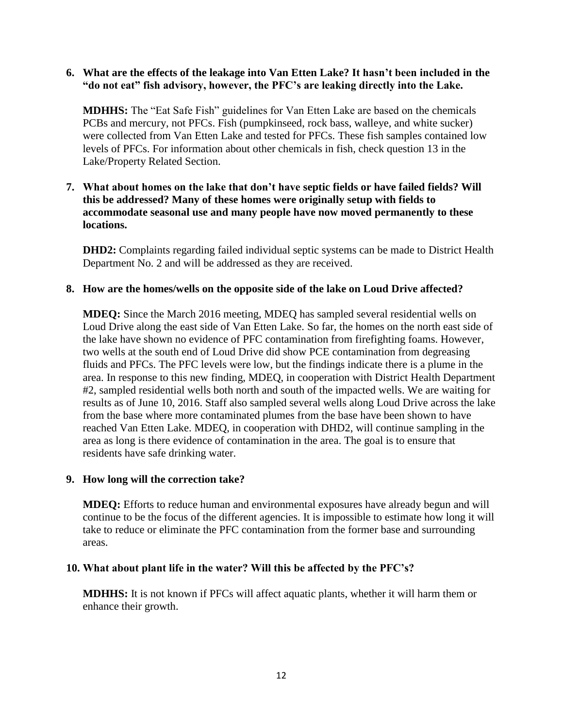## **6. What are the effects of the leakage into Van Etten Lake? It hasn't been included in the "do not eat" fish advisory, however, the PFC's are leaking directly into the Lake.**

**MDHHS:** The "Eat Safe Fish" guidelines for Van Etten Lake are based on the chemicals PCBs and mercury, not PFCs. Fish (pumpkinseed, rock bass, walleye, and white sucker) were collected from Van Etten Lake and tested for PFCs. These fish samples contained low levels of PFCs. For information about other chemicals in fish, check question 13 in the Lake/Property Related Section.

## **7. What about homes on the lake that don't have septic fields or have failed fields? Will this be addressed? Many of these homes were originally setup with fields to accommodate seasonal use and many people have now moved permanently to these locations.**

**DHD2:** Complaints regarding failed individual septic systems can be made to District Health Department No. 2 and will be addressed as they are received.

#### **8. How are the homes/wells on the opposite side of the lake on Loud Drive affected?**

**MDEQ:** Since the March 2016 meeting, MDEQ has sampled several residential wells on Loud Drive along the east side of Van Etten Lake. So far, the homes on the north east side of the lake have shown no evidence of PFC contamination from firefighting foams. However, two wells at the south end of Loud Drive did show PCE contamination from degreasing fluids and PFCs. The PFC levels were low, but the findings indicate there is a plume in the area. In response to this new finding, MDEQ, in cooperation with District Health Department #2, sampled residential wells both north and south of the impacted wells. We are waiting for results as of June 10, 2016. Staff also sampled several wells along Loud Drive across the lake from the base where more contaminated plumes from the base have been shown to have reached Van Etten Lake. MDEQ, in cooperation with DHD2, will continue sampling in the area as long is there evidence of contamination in the area. The goal is to ensure that residents have safe drinking water.

#### **9. How long will the correction take?**

**MDEQ:** Efforts to reduce human and environmental exposures have already begun and will continue to be the focus of the different agencies. It is impossible to estimate how long it will take to reduce or eliminate the PFC contamination from the former base and surrounding areas.

#### **10. What about plant life in the water? Will this be affected by the PFC's?**

**MDHHS:** It is not known if PFCs will affect aquatic plants, whether it will harm them or enhance their growth.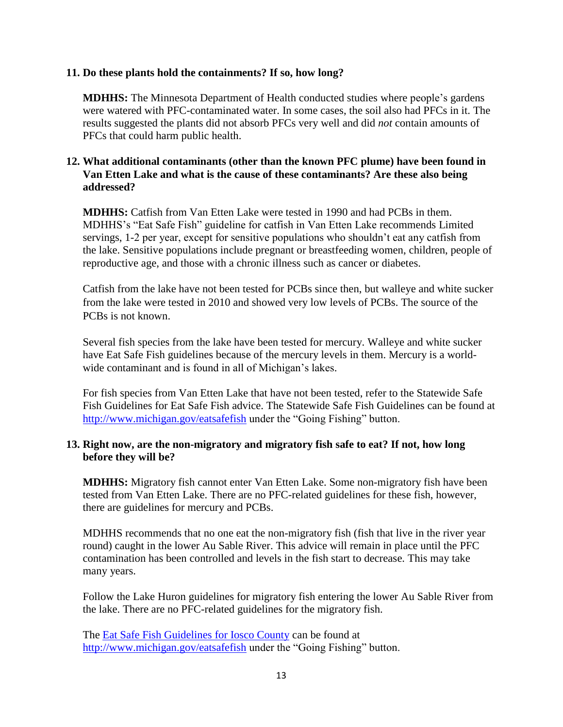#### **11. Do these plants hold the containments? If so, how long?**

**MDHHS:** The Minnesota Department of Health conducted studies where people's gardens were watered with PFC-contaminated water. In some cases, the soil also had PFCs in it. The results suggested the plants did not absorb PFCs very well and did *not* contain amounts of PFCs that could harm public health.

## **12. What additional contaminants (other than the known PFC plume) have been found in Van Etten Lake and what is the cause of these contaminants? Are these also being addressed?**

**MDHHS:** Catfish from Van Etten Lake were tested in 1990 and had PCBs in them. MDHHS's "Eat Safe Fish" guideline for catfish in Van Etten Lake recommends Limited servings, 1-2 per year, except for sensitive populations who shouldn't eat any catfish from the lake. Sensitive populations include pregnant or breastfeeding women, children, people of reproductive age, and those with a chronic illness such as cancer or diabetes.

Catfish from the lake have not been tested for PCBs since then, but walleye and white sucker from the lake were tested in 2010 and showed very low levels of PCBs. The source of the PCBs is not known.

Several fish species from the lake have been tested for mercury. Walleye and white sucker have Eat Safe Fish guidelines because of the mercury levels in them. Mercury is a worldwide contaminant and is found in all of Michigan's lakes.

For fish species from Van Etten Lake that have not been tested, refer to the Statewide Safe Fish Guidelines for Eat Safe Fish advice. The Statewide Safe Fish Guidelines can be found at <http://www.michigan.gov/eatsafefish> under the "Going Fishing" button.

#### **13. Right now, are the non-migratory and migratory fish safe to eat? If not, how long before they will be?**

**MDHHS:** Migratory fish cannot enter Van Etten Lake. Some non-migratory fish have been tested from Van Etten Lake. There are no PFC-related guidelines for these fish, however, there are guidelines for mercury and PCBs.

MDHHS recommends that no one eat the non-migratory fish (fish that live in the river year round) caught in the lower Au Sable River. This advice will remain in place until the PFC contamination has been controlled and levels in the fish start to decrease. This may take many years.

Follow the Lake Huron guidelines for migratory fish entering the lower Au Sable River from the lake. There are no PFC-related guidelines for the migratory fish.

The [Eat Safe Fish Guidelines](file:///C:/Users/manentes/Desktop/Review/Wurtsmith/Eat%20Safe%20Fish%20Guidelines) for Iosco County can be found at <http://www.michigan.gov/eatsafefish> under the "Going Fishing" button.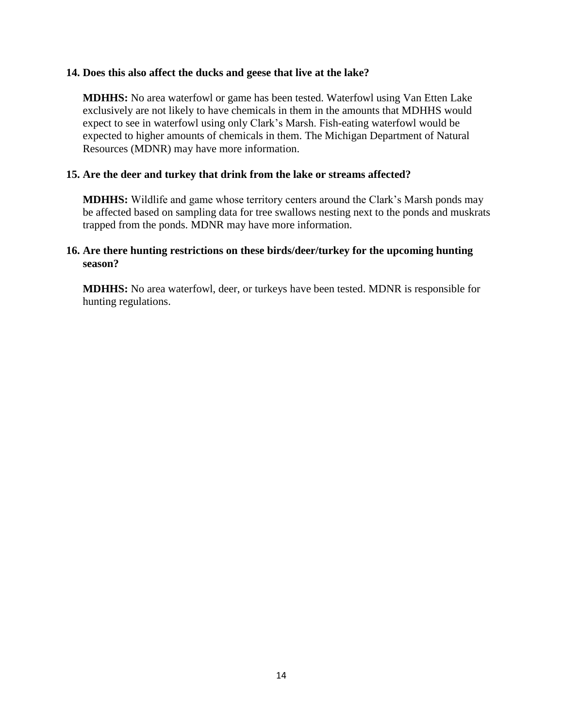#### **14. Does this also affect the ducks and geese that live at the lake?**

**MDHHS:** No area waterfowl or game has been tested. Waterfowl using Van Etten Lake exclusively are not likely to have chemicals in them in the amounts that MDHHS would expect to see in waterfowl using only Clark's Marsh. Fish-eating waterfowl would be expected to higher amounts of chemicals in them. The Michigan Department of Natural Resources (MDNR) may have more information.

#### **15. Are the deer and turkey that drink from the lake or streams affected?**

**MDHHS:** Wildlife and game whose territory centers around the Clark's Marsh ponds may be affected based on sampling data for tree swallows nesting next to the ponds and muskrats trapped from the ponds. MDNR may have more information.

#### **16. Are there hunting restrictions on these birds/deer/turkey for the upcoming hunting season?**

**MDHHS:** No area waterfowl, deer, or turkeys have been tested. MDNR is responsible for hunting regulations.